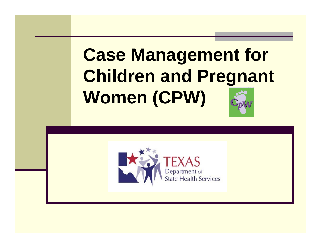# **Case Management for Children and Pregnant Women (CPW)**

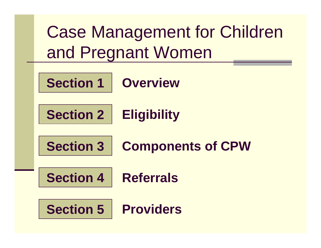Case Management for Children and Pregnant Women

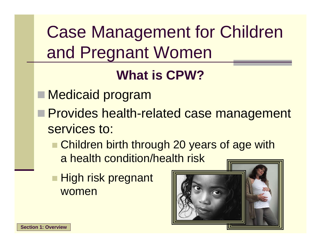Case Management for Children and Pregnant Women

#### **What is CPW?**

- Medicaid program
- **Provides health-related case management** services to:
	- Children birth through 20 years of age with a health condition/health risk
	- High risk pregnant women

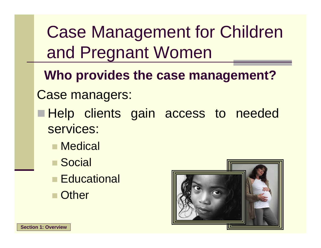Case Management for Children and Pregnant Women

**Who provides the case management?**

Case managers:

- Help clients gain access to needed services:
	- Medical
	- Social
	- **Educational**
	- **Other**

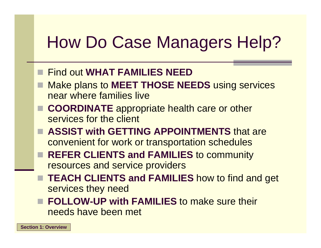# How Do Case Managers Help?

- Find out **WHAT FAMILIES NEED**
- Make plans to **MEET THOSE NEEDS** using services near where families live
- **COORDINATE** appropriate health care or other services for the client
- **ASSIST with GETTING APPOINTMENTS** that are convenient for work or transportation schedules
- REFER CLIENTS and FAMILIES to community resources and service providers
- **TEACH CLIENTS and FAMILIES** how to find and get services they need
- **FOLLOW-UP with FAMILIES** to make sure their needs have been met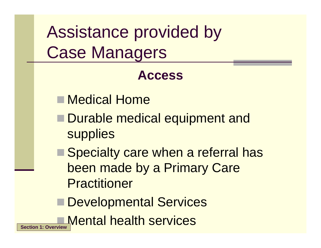Assistance provided by Case Managers

#### **Access**

- Medical Home
- Durable medical equipment and **supplies**
- Specialty care when a referral has been made by a Primary Care Practitioner
- **Developmental Services**
- Mental health services **Section 1: Overview**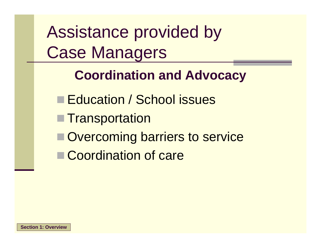Assistance provided by Case Managers

#### **Coordination and Advocacy**

**Education / School issues** ■ Transportation **Overcoming barriers to service** ■ Coordination of care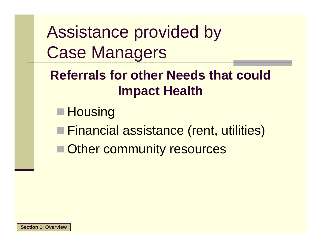Assistance provided by Case Managers

#### **Referrals for other Needs that could Impact Health**

- $\blacksquare$  Housing
- Financial assistance (rent, utilities)
- **Other community resources**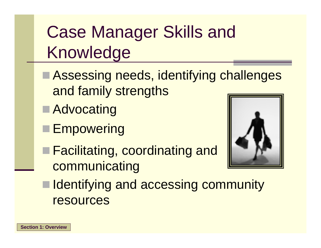Case Manager Skills and Knowledge

- Assessing needs, identifying challenges and family strengths
- **Advocating**
- **Empowering**
- Facilitating, coordinating and communicating



■ Identifying and accessing community resources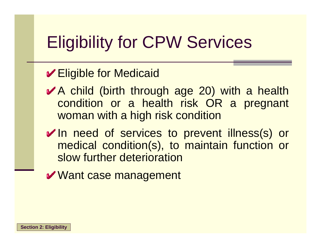## Eligibility for CPW Services

#### Eligible for Medicaid

- A child (birth through age 20) with a health condition or a health risk OR a pregnant woman with a high risk condition
- In need of services to prevent illness(s) or medical condition(s), to maintain function or slow further deterioration
- Want case management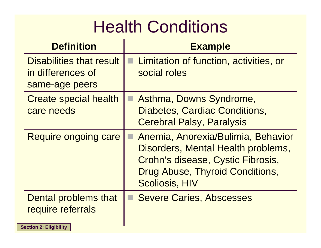## **Health Conditions**

| <b>Definition</b>                                                                 | <b>Example</b>                                                                                                                                                            |
|-----------------------------------------------------------------------------------|---------------------------------------------------------------------------------------------------------------------------------------------------------------------------|
| Disabilities that result<br>in differences of<br>same-age peers                   | Limitation of function, activities, or<br>social roles                                                                                                                    |
| <b>Create special health</b><br>care needs                                        | Asthma, Downs Syndrome,<br>Diabetes, Cardiac Conditions,<br><b>Cerebral Palsy, Paralysis</b>                                                                              |
| <b>Require ongoing care</b>                                                       | Anemia, Anorexia/Bulimia, Behavior<br>Disorders, Mental Health problems,<br>Crohn's disease, Cystic Fibrosis,<br>Drug Abuse, Thyroid Conditions,<br><b>Scoliosis, HIV</b> |
| <b>Dental problems that</b><br>require referrals<br><b>Section 2: Eligibility</b> | <b>Severe Caries, Abscesses</b>                                                                                                                                           |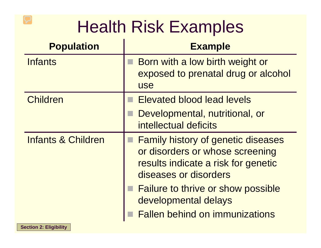### Health Risk Examples

| <b>Population</b>             | <b>Example</b>                                                                                                                                                                                                                                             |
|-------------------------------|------------------------------------------------------------------------------------------------------------------------------------------------------------------------------------------------------------------------------------------------------------|
| <b>Infants</b>                | Born with a low birth weight or<br>exposed to prenatal drug or alcohol<br><b>use</b>                                                                                                                                                                       |
| <b>Children</b>               | <b>Elevated blood lead levels</b>                                                                                                                                                                                                                          |
|                               | Developmental, nutritional, or<br>intellectual deficits                                                                                                                                                                                                    |
| <b>Infants &amp; Children</b> | <b>Family history of genetic diseases</b><br>or disorders or whose screening<br>results indicate a risk for genetic<br>diseases or disorders<br><b>Failure to thrive or show possible</b><br>developmental delays<br><b>Fallen behind on immunizations</b> |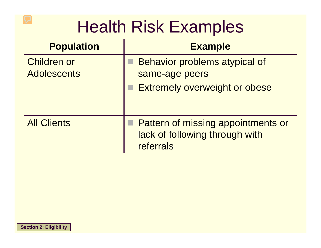#### Health Risk Examples

| <b>Population</b>                        | <b>Example</b>                                                                           |
|------------------------------------------|------------------------------------------------------------------------------------------|
| <b>Children or</b><br><b>Adolescents</b> | Behavior problems atypical of<br>same-age peers<br><b>Extremely overweight or obese</b>  |
| <b>All Clients</b>                       | <b>Pattern of missing appointments or</b><br>lack of following through with<br>referrals |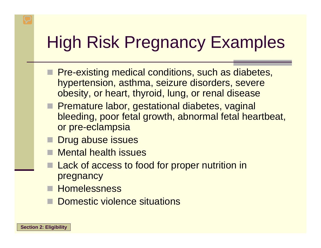# High Risk Pregnancy Examples

- **Pre-existing medical conditions, such as diabetes,** hypertension, asthma, seizure disorders, severe obesity, or heart, thyroid, lung, or renal disease
- **Premature labor, gestational diabetes, vaginal** bleeding, poor fetal growth, abnormal fetal heartbeat, or pre-eclampsia
- Drug abuse issues
- Mental health issues
- **Lack of access to food for proper nutrition in** pregnancy
- **Homelessness** 
	- Domestic violence situations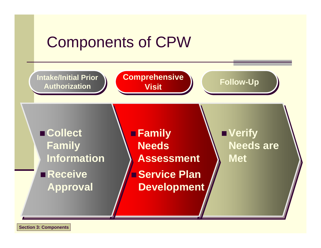#### Components of CPW

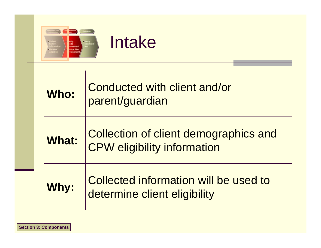



| Who: | Conducted with client and/or<br>parent/guardian                            |  |
|------|----------------------------------------------------------------------------|--|
|      | What: Collection of client demographics and<br>CPW eligibility information |  |
| Why: | Collected information will be used to<br>determine client eligibility      |  |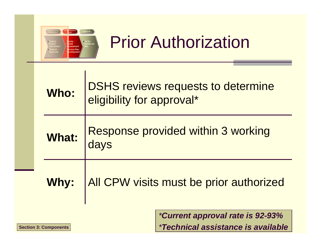

## **Prior Authorization**

| Who:         | <b>DSHS reviews requests to determine</b><br>eligibility for approval* |  |
|--------------|------------------------------------------------------------------------|--|
| <b>What:</b> | <b>Response provided within 3 working</b><br>days                      |  |
| Why:         | All CPW visits must be prior authorized                                |  |
|              | <i>*Current approval rate is 92-93%</i>                                |  |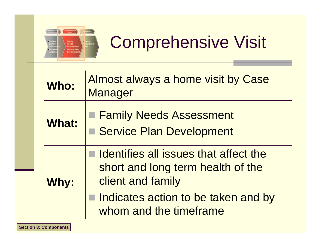

# Comprehensive Visit

| <b>Who:</b> |                                                                                                 | Almost always a home visit by Case<br>Manager                 |
|-------------|-------------------------------------------------------------------------------------------------|---------------------------------------------------------------|
|             | <b>What:</b>                                                                                    | <b>Family Needs Assessment</b><br>Service Plan Development    |
| <b>Why:</b> | Identifies all issues that affect the<br>short and long term health of the<br>client and family |                                                               |
|             |                                                                                                 | Indicates action to be taken and by<br>whom and the timeframe |
|             | <b>Section 3: Components</b>                                                                    |                                                               |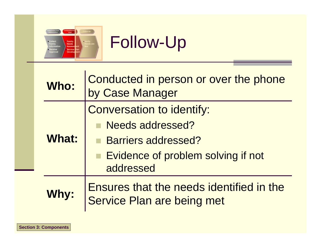

## Follow-Up

| Who:         | Conducted in person or over the phone<br>by Case Manager               |  |
|--------------|------------------------------------------------------------------------|--|
|              | <b>Conversation to identify:</b>                                       |  |
|              | Needs addressed?                                                       |  |
| <b>What:</b> | <b>Barriers addressed?</b>                                             |  |
|              | Evidence of problem solving if not<br>addressed                        |  |
| Why:         | Ensures that the needs identified in the<br>Service Plan are being met |  |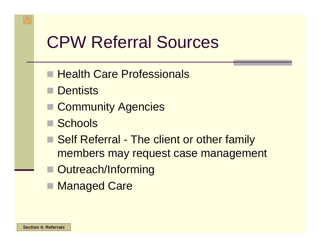## CPW Referral Sources

- **Health Care Professionals**
- Dentists
- Community Agencies
- Schools
- Self Referral The client or other family members may request case management
- Outreach/Informing
- Managed Care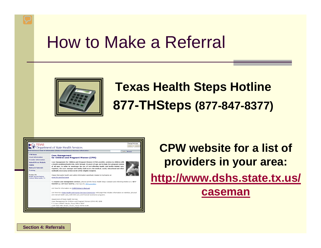#### How to Make a Referral



#### **Texas Health Steps Hotline 877-THSteps (877-847-8377)**

| <b>KEN TEXAS</b>                                                                                                                                                     | Change font size:<br>SMALL  <br>LARGE<br><b>MDepartment of State Health Services</b><br>Find Services   News & Information   Rules & Regulations   Business Information<br>Search (Duncar)                                                                                                                                                                                                                                                                                                                                                                                                                                                                                                                          |
|----------------------------------------------------------------------------------------------------------------------------------------------------------------------|---------------------------------------------------------------------------------------------------------------------------------------------------------------------------------------------------------------------------------------------------------------------------------------------------------------------------------------------------------------------------------------------------------------------------------------------------------------------------------------------------------------------------------------------------------------------------------------------------------------------------------------------------------------------------------------------------------------------|
| <b>CPW Home</b><br><b>Client Information</b><br><b>Provider Information</b><br><b>Submit PA via Website</b><br>FORMS<br><b>Outreach Materials</b><br><b>Training</b> | <b>Case Management</b><br>for Children and Pregnant Women (CPW)<br>Case Management for Children and Pregnant Women (CPW) provides services to children with<br>a health condition/health risk, birth through 20 years of age and to high-risk pregnant women<br>of all ages, in order to encourage the use of cost-effective health and health-related care.<br>Together, the case manager and family shall assess the medical, social, educational and other<br>medically necessary service needs of the eligible recipient.                                                                                                                                                                                       |
| <b>Contact Us</b><br><b>Health Service Regions</b><br>Central Office-Austin, TX                                                                                      | Please find public health and safety information specifically related to hurricanes at<br>www.hhs.gov/hurricane<br>To request case management services, please call the Texas Health Steps Outeach and Informing Hotline at 1-877-<br>THSTEPS (1-877-847-8377) or link here for CPW providers<br>Link here for information on CHIP/Children's Medicaid<br>Link here to a State Health and Human Services Commission web page that includes information on nutrition, physical<br>and mental health care, well-child care, and financial assistance programs.<br>Department of State Health Services<br>Case Management for Children and Pregnant Women (CPW)-MC 1938<br>P. O. Box 149347 / Austin, Texas 78714-9347 |
|                                                                                                                                                                      | 1100 West 49th Street / Austin, Texas 78756-3199                                                                                                                                                                                                                                                                                                                                                                                                                                                                                                                                                                                                                                                                    |

**CPW website for a list of providers in your area:**

**[http://www.dshs.state.tx.us/](http://www.dshs.state.tx.us/caseman)** 

**[caseman](http://www.dshs.state.tx.us/caseman)**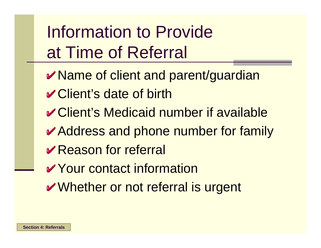Information to Provide at Time of Referral

- **Name of client and parent/guardian**
- Client's date of birth
- $✓$  Client's Medicaid number if available
- **Address and phone number for family**
- **Reason for referral**
- **V** Your contact information
- Whether or not referral is urgent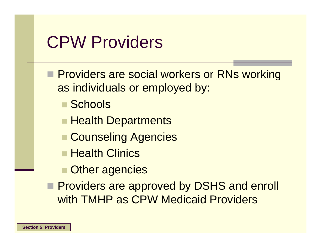#### CPW Providers

**Providers are social workers or RNs working** as individuals or employed by:

- Schools
- Health Departments
- **E** Counseling Agencies
- **E** Health Clinics
- **Other agencies**
- **Providers are approved by DSHS and enroll** with TMHP as CPW Medicaid Providers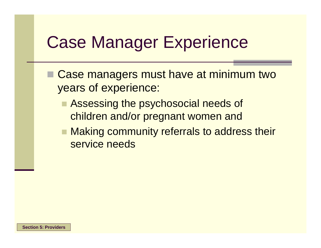## Case Manager Experience

- Case managers must have at minimum two years of experience:
	- Assessing the psychosocial needs of children and/or pregnant women and
	- Making community referrals to address their service needs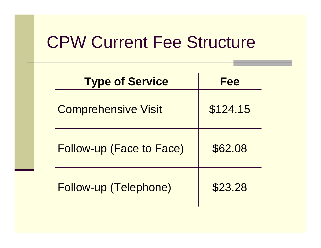#### CPW Current Fee Structure

| <b>Type of Service</b>          | <b>Fee</b> |
|---------------------------------|------------|
| <b>Comprehensive Visit</b>      | \$124.15   |
| <b>Follow-up (Face to Face)</b> | \$62.08    |
| Follow-up (Telephone)           | \$23.28    |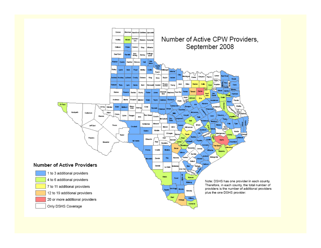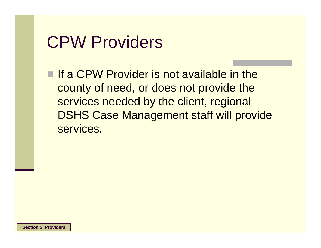#### CPW Providers

**If a CPW Provider is not available in the** county of need, or does not provide the services needed by the client, regional DSHS Case Management staff will provide services.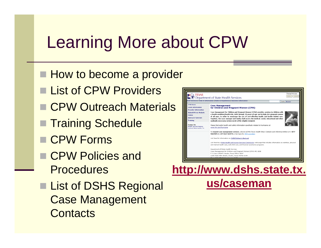# Learning More about CPW

- **How to become a provider**
- List of CPW Providers
- CPW Outreach Materials
- Training Schedule
- CPW Forms
- CPW Policies and **Procedures**
- List of DSHS Regional Case Management **Contacts**



**[us/caseman](http://www.dshs.state.tx.us/caseman)**